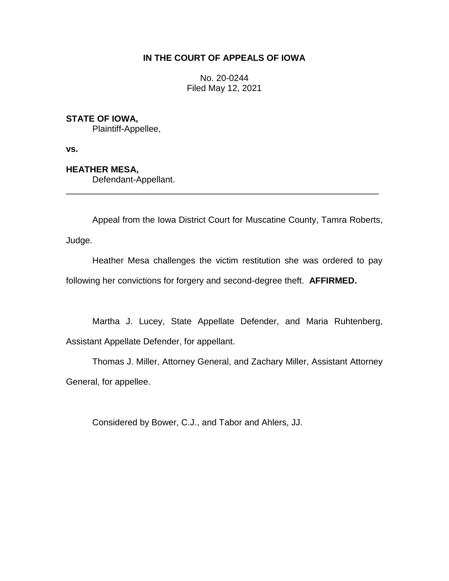# **IN THE COURT OF APPEALS OF IOWA**

No. 20-0244 Filed May 12, 2021

# **STATE OF IOWA,**

Plaintiff-Appellee,

**vs.**

# **HEATHER MESA,**

Defendant-Appellant.

Appeal from the Iowa District Court for Muscatine County, Tamra Roberts,

Judge.

Heather Mesa challenges the victim restitution she was ordered to pay following her convictions for forgery and second-degree theft. **AFFIRMED.**

\_\_\_\_\_\_\_\_\_\_\_\_\_\_\_\_\_\_\_\_\_\_\_\_\_\_\_\_\_\_\_\_\_\_\_\_\_\_\_\_\_\_\_\_\_\_\_\_\_\_\_\_\_\_\_\_\_\_\_\_\_\_\_\_

Martha J. Lucey, State Appellate Defender, and Maria Ruhtenberg, Assistant Appellate Defender, for appellant.

Thomas J. Miller, Attorney General, and Zachary Miller, Assistant Attorney General, for appellee.

Considered by Bower, C.J., and Tabor and Ahlers, JJ.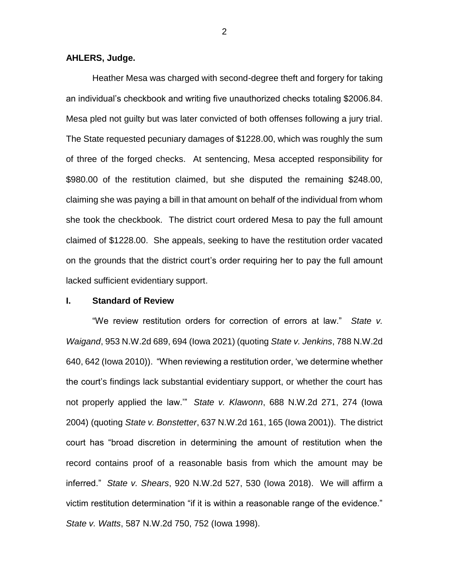#### **AHLERS, Judge.**

Heather Mesa was charged with second-degree theft and forgery for taking an individual's checkbook and writing five unauthorized checks totaling \$2006.84. Mesa pled not guilty but was later convicted of both offenses following a jury trial. The State requested pecuniary damages of \$1228.00, which was roughly the sum of three of the forged checks. At sentencing, Mesa accepted responsibility for \$980.00 of the restitution claimed, but she disputed the remaining \$248.00, claiming she was paying a bill in that amount on behalf of the individual from whom she took the checkbook. The district court ordered Mesa to pay the full amount claimed of \$1228.00. She appeals, seeking to have the restitution order vacated on the grounds that the district court's order requiring her to pay the full amount lacked sufficient evidentiary support.

### **I. Standard of Review**

"We review restitution orders for correction of errors at law." *State v. Waigand*, 953 N.W.2d 689, 694 (Iowa 2021) (quoting *State v. Jenkins*, 788 N.W.2d 640, 642 (Iowa 2010)). "When reviewing a restitution order, 'we determine whether the court's findings lack substantial evidentiary support, or whether the court has not properly applied the law.'" *State v. Klawonn*, 688 N.W.2d 271, 274 (Iowa 2004) (quoting *State v. Bonstetter*, 637 N.W.2d 161, 165 (Iowa 2001)). The district court has "broad discretion in determining the amount of restitution when the record contains proof of a reasonable basis from which the amount may be inferred." *State v. Shears*, 920 N.W.2d 527, 530 (Iowa 2018). We will affirm a victim restitution determination "if it is within a reasonable range of the evidence." *State v. Watts*, 587 N.W.2d 750, 752 (Iowa 1998).

2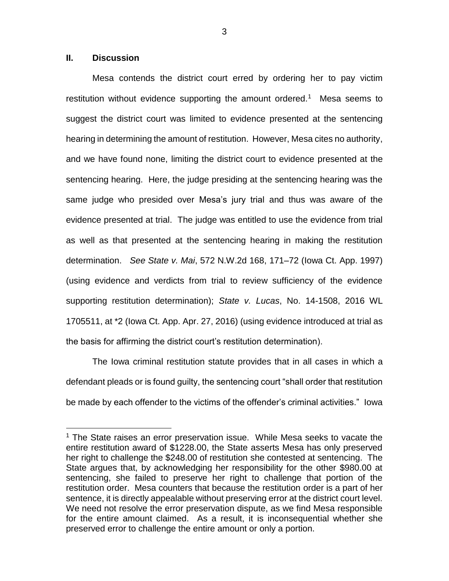### **II. Discussion**

 $\overline{a}$ 

Mesa contends the district court erred by ordering her to pay victim restitution without evidence supporting the amount ordered.<sup>1</sup> Mesa seems to suggest the district court was limited to evidence presented at the sentencing hearing in determining the amount of restitution. However, Mesa cites no authority, and we have found none, limiting the district court to evidence presented at the sentencing hearing. Here, the judge presiding at the sentencing hearing was the same judge who presided over Mesa's jury trial and thus was aware of the evidence presented at trial. The judge was entitled to use the evidence from trial as well as that presented at the sentencing hearing in making the restitution determination. *See State v. Mai*, 572 N.W.2d 168, 171–72 (Iowa Ct. App. 1997) (using evidence and verdicts from trial to review sufficiency of the evidence supporting restitution determination); *State v. Lucas*, No. 14-1508, 2016 WL 1705511, at \*2 (Iowa Ct. App. Apr. 27, 2016) (using evidence introduced at trial as the basis for affirming the district court's restitution determination).

The Iowa criminal restitution statute provides that in all cases in which a defendant pleads or is found guilty, the sentencing court "shall order that restitution be made by each offender to the victims of the offender's criminal activities." Iowa

3

<sup>&</sup>lt;sup>1</sup> The State raises an error preservation issue. While Mesa seeks to vacate the entire restitution award of \$1228.00, the State asserts Mesa has only preserved her right to challenge the \$248.00 of restitution she contested at sentencing. The State argues that, by acknowledging her responsibility for the other \$980.00 at sentencing, she failed to preserve her right to challenge that portion of the restitution order. Mesa counters that because the restitution order is a part of her sentence, it is directly appealable without preserving error at the district court level. We need not resolve the error preservation dispute, as we find Mesa responsible for the entire amount claimed. As a result, it is inconsequential whether she preserved error to challenge the entire amount or only a portion.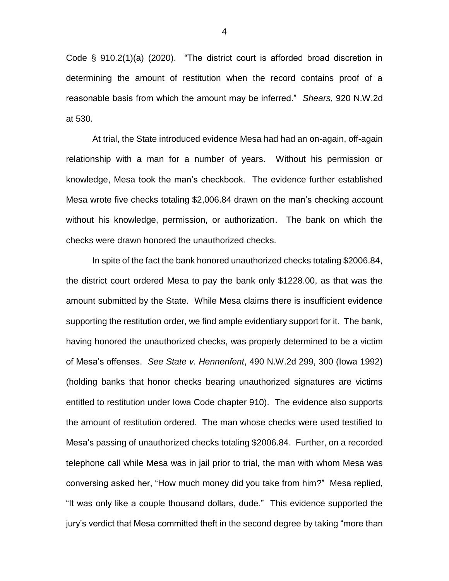Code § 910.2(1)(a) (2020). "The district court is afforded broad discretion in determining the amount of restitution when the record contains proof of a reasonable basis from which the amount may be inferred." *Shears*, 920 N.W.2d at 530.

At trial, the State introduced evidence Mesa had had an on-again, off-again relationship with a man for a number of years. Without his permission or knowledge, Mesa took the man's checkbook. The evidence further established Mesa wrote five checks totaling \$2,006.84 drawn on the man's checking account without his knowledge, permission, or authorization. The bank on which the checks were drawn honored the unauthorized checks.

In spite of the fact the bank honored unauthorized checks totaling \$2006.84, the district court ordered Mesa to pay the bank only \$1228.00, as that was the amount submitted by the State. While Mesa claims there is insufficient evidence supporting the restitution order, we find ample evidentiary support for it. The bank, having honored the unauthorized checks, was properly determined to be a victim of Mesa's offenses. *See State v. Hennenfent*, 490 N.W.2d 299, 300 (Iowa 1992) (holding banks that honor checks bearing unauthorized signatures are victims entitled to restitution under Iowa Code chapter 910). The evidence also supports the amount of restitution ordered. The man whose checks were used testified to Mesa's passing of unauthorized checks totaling \$2006.84. Further, on a recorded telephone call while Mesa was in jail prior to trial, the man with whom Mesa was conversing asked her, "How much money did you take from him?" Mesa replied, "It was only like a couple thousand dollars, dude." This evidence supported the jury's verdict that Mesa committed theft in the second degree by taking "more than